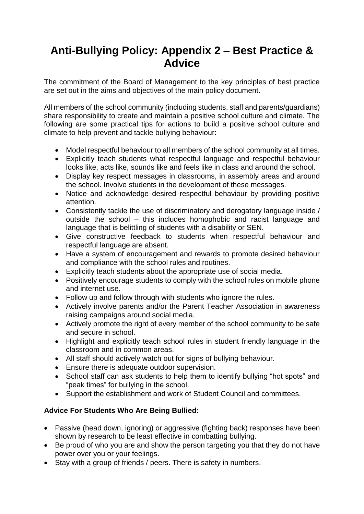# **Anti-Bullying Policy: Appendix 2 – Best Practice & Advice**

The commitment of the Board of Management to the key principles of best practice are set out in the aims and objectives of the main policy document.

All members of the school community (including students, staff and parents/guardians) share responsibility to create and maintain a positive school culture and climate. The following are some practical tips for actions to build a positive school culture and climate to help prevent and tackle bullying behaviour:

- Model respectful behaviour to all members of the school community at all times.
- Explicitly teach students what respectful language and respectful behaviour looks like, acts like, sounds like and feels like in class and around the school.
- Display key respect messages in classrooms, in assembly areas and around the school. Involve students in the development of these messages.
- Notice and acknowledge desired respectful behaviour by providing positive attention.
- Consistently tackle the use of discriminatory and derogatory language inside / outside the school – this includes homophobic and racist language and language that is belittling of students with a disability or SEN.
- Give constructive feedback to students when respectful behaviour and respectful language are absent.
- Have a system of encouragement and rewards to promote desired behaviour and compliance with the school rules and routines.
- Explicitly teach students about the appropriate use of social media.
- Positively encourage students to comply with the school rules on mobile phone and internet use.
- Follow up and follow through with students who ignore the rules.
- Actively involve parents and/or the Parent Teacher Association in awareness raising campaigns around social media.
- Actively promote the right of every member of the school community to be safe and secure in school.
- Highlight and explicitly teach school rules in student friendly language in the classroom and in common areas.
- All staff should actively watch out for signs of bullying behaviour.
- Ensure there is adequate outdoor supervision.
- School staff can ask students to help them to identify bullying "hot spots" and "peak times" for bullying in the school.
- Support the establishment and work of Student Council and committees.

# **Advice For Students Who Are Being Bullied:**

- Passive (head down, ignoring) or aggressive (fighting back) responses have been shown by research to be least effective in combatting bullying.
- Be proud of who you are and show the person targeting you that they do not have power over you or your feelings.
- Stay with a group of friends / peers. There is safety in numbers.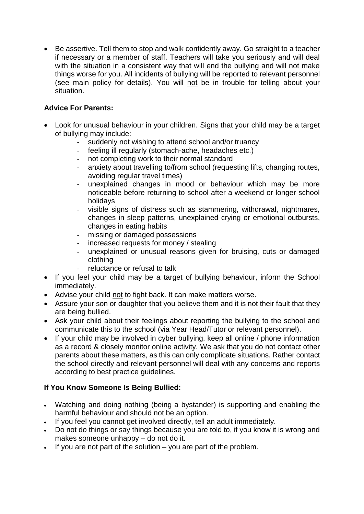• Be assertive. Tell them to stop and walk confidently away. Go straight to a teacher if necessary or a member of staff. Teachers will take you seriously and will deal with the situation in a consistent way that will end the bullying and will not make things worse for you. All incidents of bullying will be reported to relevant personnel (see main policy for details). You will not be in trouble for telling about your situation.

### **Advice For Parents:**

- Look for unusual behaviour in your children. Signs that your child may be a target of bullying may include:
	- suddenly not wishing to attend school and/or truancy
	- feeling ill regularly (stomach-ache, headaches etc.)
	- not completing work to their normal standard
	- anxiety about travelling to/from school (requesting lifts, changing routes, avoiding regular travel times)
	- unexplained changes in mood or behaviour which may be more noticeable before returning to school after a weekend or longer school holidays
	- visible signs of distress such as stammering, withdrawal, nightmares, changes in sleep patterns, unexplained crying or emotional outbursts, changes in eating habits
	- missing or damaged possessions
	- increased requests for money / stealing
	- unexplained or unusual reasons given for bruising, cuts or damaged clothing
	- reluctance or refusal to talk
- If you feel your child may be a target of bullying behaviour, inform the School immediately.
- Advise your child not to fight back. It can make matters worse.
- Assure your son or daughter that you believe them and it is not their fault that they are being bullied.
- Ask your child about their feelings about reporting the bullying to the school and communicate this to the school (via Year Head/Tutor or relevant personnel).
- If your child may be involved in cyber bullying, keep all online / phone information as a record & closely monitor online activity. We ask that you do not contact other parents about these matters, as this can only complicate situations. Rather contact the school directly and relevant personnel will deal with any concerns and reports according to best practice guidelines.

# **If You Know Someone Is Being Bullied:**

- Watching and doing nothing (being a bystander) is supporting and enabling the harmful behaviour and should not be an option.
- If you feel you cannot get involved directly, tell an adult immediately.
- Do not do things or say things because you are told to, if you know it is wrong and makes someone unhappy – do not do it.
- If you are not part of the solution you are part of the problem.